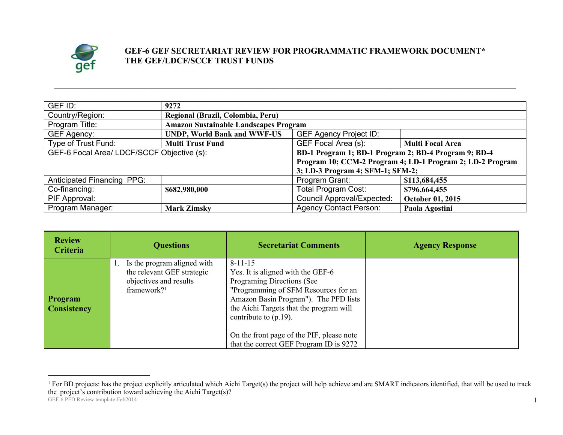

## **GEF-6 GEF SECRETARIAT REVIEW FOR PROGRAMMATIC FRAMEWORK DOCUMENT\* THE GEF/LDCF/SCCF TRUST FUNDS**

| GEF ID:                                                   | 9272                                                 |                                   |                         |
|-----------------------------------------------------------|------------------------------------------------------|-----------------------------------|-------------------------|
| Country/Region:                                           | Regional (Brazil, Colombia, Peru)                    |                                   |                         |
| Program Title:                                            | <b>Amazon Sustainable Landscapes Program</b>         |                                   |                         |
| GEF Agency:                                               | <b>UNDP, World Bank and WWF-US</b>                   | <b>GEF Agency Project ID:</b>     |                         |
| Type of Trust Fund:                                       | <b>Multi Trust Fund</b>                              | GEF Focal Area (s):               | <b>Multi Focal Area</b> |
| GEF-6 Focal Area/ LDCF/SCCF Objective (s):                | BD-1 Program 1; BD-1 Program 2; BD-4 Program 9; BD-4 |                                   |                         |
| Program 10; CCM-2 Program 4; LD-1 Program 2; LD-2 Program |                                                      |                                   |                         |
|                                                           |                                                      | 3; LD-3 Program 4; SFM-1; SFM-2;  |                         |
| <b>Anticipated Financing PPG:</b>                         |                                                      | Program Grant:                    | \$113,684,455           |
| Co-financing:                                             | \$682,980,000                                        | <b>Total Program Cost:</b>        | \$796,664,455           |
| PIF Approval:                                             |                                                      | <b>Council Approval/Expected:</b> | October 01, 2015        |
| Program Manager:                                          | <b>Mark Zimsky</b>                                   | <b>Agency Contact Person:</b>     | Paola Agostini          |

**\_\_\_\_\_\_\_\_\_\_\_\_\_\_\_\_\_\_\_\_\_\_\_\_\_\_\_\_\_\_\_\_\_\_\_\_\_\_\_\_\_\_\_\_\_\_\_\_\_\_\_\_\_\_\_\_\_\_\_\_\_\_\_\_\_\_\_\_\_\_\_\_\_\_\_\_\_\_\_\_\_\_\_\_\_\_\_\_\_\_\_\_\_\_\_\_\_\_\_\_\_\_\_\_\_\_\_\_\_\_\_\_\_\_\_\_\_\_**

| <b>Review</b><br>Criteria            | <b>Questions</b>                                                                                               | <b>Secretariat Comments</b>                                                                                                                                                                                                                                                                                                      | <b>Agency Response</b> |
|--------------------------------------|----------------------------------------------------------------------------------------------------------------|----------------------------------------------------------------------------------------------------------------------------------------------------------------------------------------------------------------------------------------------------------------------------------------------------------------------------------|------------------------|
| <b>Program</b><br><b>Consistency</b> | Is the program aligned with<br>the relevant GEF strategic<br>objectives and results<br>framework? <sup>1</sup> | $8 - 11 - 15$<br>Yes. It is aligned with the GEF-6<br>Programing Directions (See<br>"Programming of SFM Resources for an<br>Amazon Basin Program"). The PFD lists<br>the Aichi Targets that the program will<br>contribute to $(p.19)$ .<br>On the front page of the PIF, please note<br>that the correct GEF Program ID is 9272 |                        |

GEF-6 PFD Review template-Feb2014 <sup>1</sup> For BD projects: has the project explicitly articulated which Aichi Target(s) the project will help achieve and are SMART indicators identified, that will be used to track the project's contribution toward achieving the Aichi Target(s)?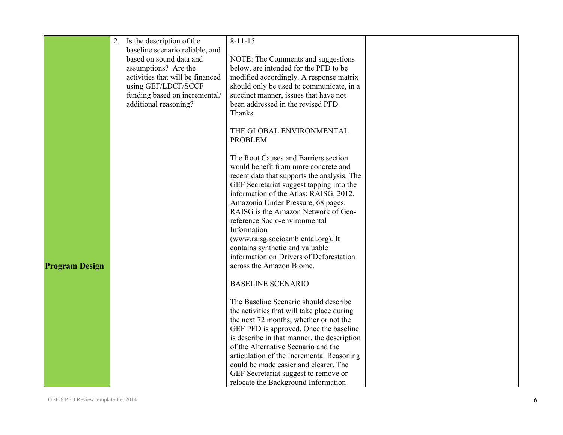|                       | Is the description of the        | $8 - 11 - 15$                               |  |
|-----------------------|----------------------------------|---------------------------------------------|--|
|                       | baseline scenario reliable, and  |                                             |  |
|                       | based on sound data and          | NOTE: The Comments and suggestions          |  |
|                       | assumptions? Are the             | below, are intended for the PFD to be       |  |
|                       | activities that will be financed | modified accordingly. A response matrix     |  |
|                       | using GEF/LDCF/SCCF              | should only be used to communicate, in a    |  |
|                       | funding based on incremental/    | succinct manner, issues that have not       |  |
|                       | additional reasoning?            | been addressed in the revised PFD.          |  |
|                       |                                  | Thanks.                                     |  |
|                       |                                  |                                             |  |
|                       |                                  | THE GLOBAL ENVIRONMENTAL                    |  |
|                       |                                  | <b>PROBLEM</b>                              |  |
|                       |                                  |                                             |  |
|                       |                                  | The Root Causes and Barriers section        |  |
|                       |                                  | would benefit from more concrete and        |  |
|                       |                                  | recent data that supports the analysis. The |  |
|                       |                                  | GEF Secretariat suggest tapping into the    |  |
|                       |                                  | information of the Atlas: RAISG, 2012.      |  |
|                       |                                  | Amazonia Under Pressure, 68 pages.          |  |
|                       |                                  | RAISG is the Amazon Network of Geo-         |  |
|                       |                                  | reference Socio-environmental               |  |
|                       |                                  | Information                                 |  |
|                       |                                  | (www.raisg.socioambiental.org). It          |  |
|                       |                                  | contains synthetic and valuable             |  |
|                       |                                  | information on Drivers of Deforestation     |  |
| <b>Program Design</b> |                                  | across the Amazon Biome.                    |  |
|                       |                                  |                                             |  |
|                       |                                  | <b>BASELINE SCENARIO</b>                    |  |
|                       |                                  | The Baseline Scenario should describe       |  |
|                       |                                  | the activities that will take place during  |  |
|                       |                                  | the next 72 months, whether or not the      |  |
|                       |                                  | GEF PFD is approved. Once the baseline      |  |
|                       |                                  | is describe in that manner, the description |  |
|                       |                                  | of the Alternative Scenario and the         |  |
|                       |                                  | articulation of the Incremental Reasoning   |  |
|                       |                                  | could be made easier and clearer. The       |  |
|                       |                                  | GEF Secretariat suggest to remove or        |  |
|                       |                                  | relocate the Background Information         |  |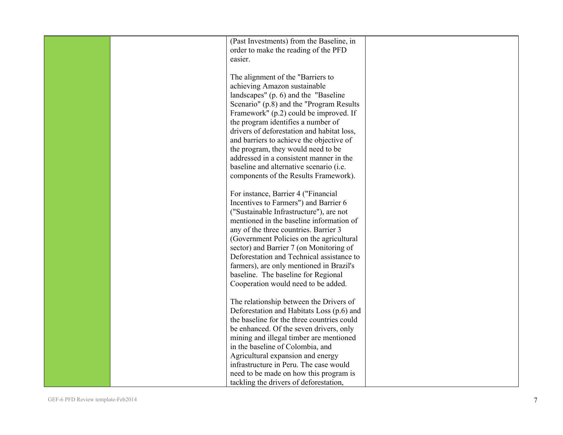|  | (Past Investments) from the Baseline, in   |  |
|--|--------------------------------------------|--|
|  | order to make the reading of the PFD       |  |
|  | easier.                                    |  |
|  |                                            |  |
|  |                                            |  |
|  | The alignment of the "Barriers to          |  |
|  | achieving Amazon sustainable               |  |
|  | landscapes" (p. 6) and the "Baseline"      |  |
|  | Scenario" (p.8) and the "Program Results"  |  |
|  | Framework" (p.2) could be improved. If     |  |
|  | the program identifies a number of         |  |
|  |                                            |  |
|  | drivers of deforestation and habitat loss, |  |
|  | and barriers to achieve the objective of   |  |
|  | the program, they would need to be         |  |
|  | addressed in a consistent manner in the    |  |
|  | baseline and alternative scenario (i.e.    |  |
|  | components of the Results Framework).      |  |
|  |                                            |  |
|  | For instance, Barrier 4 ("Financial        |  |
|  |                                            |  |
|  | Incentives to Farmers") and Barrier 6      |  |
|  | ("Sustainable Infrastructure"), are not    |  |
|  | mentioned in the baseline information of   |  |
|  | any of the three countries. Barrier 3      |  |
|  | (Government Policies on the agricultural   |  |
|  | sector) and Barrier 7 (on Monitoring of    |  |
|  | Deforestation and Technical assistance to  |  |
|  |                                            |  |
|  | farmers), are only mentioned in Brazil's   |  |
|  | baseline. The baseline for Regional        |  |
|  | Cooperation would need to be added.        |  |
|  |                                            |  |
|  | The relationship between the Drivers of    |  |
|  | Deforestation and Habitats Loss (p.6) and  |  |
|  | the baseline for the three countries could |  |
|  | be enhanced. Of the seven drivers, only    |  |
|  | mining and illegal timber are mentioned    |  |
|  | in the baseline of Colombia, and           |  |
|  | Agricultural expansion and energy          |  |
|  |                                            |  |
|  | infrastructure in Peru. The case would     |  |
|  | need to be made on how this program is     |  |
|  | tackling the drivers of deforestation,     |  |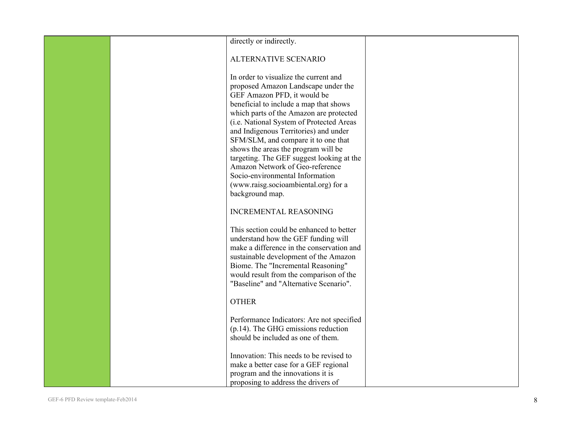| directly or indirectly.                                                                                                                                                                                                                                                                                                                                                                                                                                                                                                                           |  |
|---------------------------------------------------------------------------------------------------------------------------------------------------------------------------------------------------------------------------------------------------------------------------------------------------------------------------------------------------------------------------------------------------------------------------------------------------------------------------------------------------------------------------------------------------|--|
| ALTERNATIVE SCENARIO                                                                                                                                                                                                                                                                                                                                                                                                                                                                                                                              |  |
| In order to visualize the current and<br>proposed Amazon Landscape under the<br>GEF Amazon PFD, it would be<br>beneficial to include a map that shows<br>which parts of the Amazon are protected<br>(i.e. National System of Protected Areas<br>and Indigenous Territories) and under<br>SFM/SLM, and compare it to one that<br>shows the areas the program will be<br>targeting. The GEF suggest looking at the<br>Amazon Network of Geo-reference<br>Socio-environmental Information<br>(www.raisg.socioambiental.org) for a<br>background map. |  |
| <b>INCREMENTAL REASONING</b>                                                                                                                                                                                                                                                                                                                                                                                                                                                                                                                      |  |
| This section could be enhanced to better<br>understand how the GEF funding will<br>make a difference in the conservation and<br>sustainable development of the Amazon<br>Biome. The "Incremental Reasoning"<br>would result from the comparison of the<br>"Baseline" and "Alternative Scenario".                                                                                                                                                                                                                                                  |  |
| <b>OTHER</b>                                                                                                                                                                                                                                                                                                                                                                                                                                                                                                                                      |  |
| Performance Indicators: Are not specified<br>$(p.14)$ . The GHG emissions reduction<br>should be included as one of them.                                                                                                                                                                                                                                                                                                                                                                                                                         |  |
| Innovation: This needs to be revised to<br>make a better case for a GEF regional<br>program and the innovations it is<br>proposing to address the drivers of                                                                                                                                                                                                                                                                                                                                                                                      |  |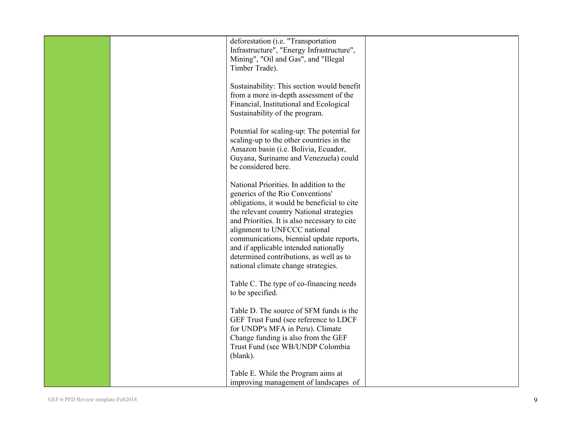|  | deforestation (i.e. "Transportation                                                     |  |
|--|-----------------------------------------------------------------------------------------|--|
|  | Infrastructure", "Energy Infrastructure",                                               |  |
|  | Mining", "Oil and Gas", and "Illegal<br>Timber Trade).                                  |  |
|  |                                                                                         |  |
|  | Sustainability: This section would benefit                                              |  |
|  | from a more in-depth assessment of the                                                  |  |
|  | Financial, Institutional and Ecological<br>Sustainability of the program.               |  |
|  |                                                                                         |  |
|  | Potential for scaling-up: The potential for                                             |  |
|  | scaling-up to the other countries in the                                                |  |
|  | Amazon basin (i.e. Bolivia, Ecuador,                                                    |  |
|  | Guyana, Suriname and Venezuela) could<br>be considered here.                            |  |
|  |                                                                                         |  |
|  | National Priorities. In addition to the                                                 |  |
|  | generics of the Rio Conventions'                                                        |  |
|  | obligations, it would be beneficial to cite<br>the relevant country National strategies |  |
|  | and Priorities. It is also necessary to cite                                            |  |
|  | alignment to UNFCCC national                                                            |  |
|  | communications, biennial update reports,                                                |  |
|  | and if applicable intended nationally<br>determined contributions, as well as to        |  |
|  | national climate change strategies.                                                     |  |
|  |                                                                                         |  |
|  | Table C. The type of co-financing needs                                                 |  |
|  | to be specified.                                                                        |  |
|  | Table D. The source of SFM funds is the                                                 |  |
|  | GEF Trust Fund (see reference to LDCF                                                   |  |
|  | for UNDP's MFA in Peru). Climate                                                        |  |
|  | Change funding is also from the GEF<br>Trust Fund (see WB/UNDP Colombia                 |  |
|  | (blank).                                                                                |  |
|  |                                                                                         |  |
|  | Table E. While the Program aims at                                                      |  |
|  | improving management of landscapes of                                                   |  |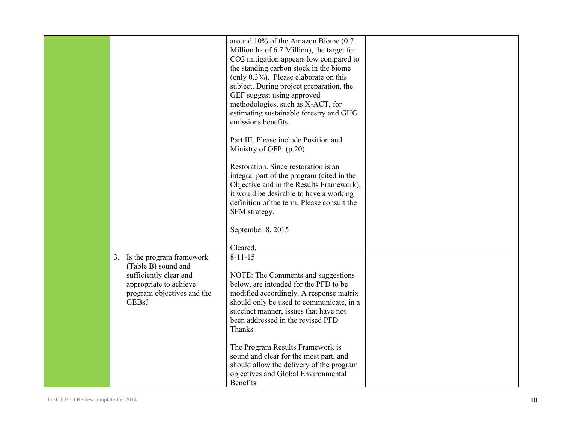|                                                                                         | around 10% of the Amazon Biome (0.7)<br>Million ha of 6.7 Million), the target for<br>CO2 mitigation appears low compared to<br>the standing carbon stock in the biome                                                  |  |
|-----------------------------------------------------------------------------------------|-------------------------------------------------------------------------------------------------------------------------------------------------------------------------------------------------------------------------|--|
|                                                                                         | (only $0.3\%$ ). Please elaborate on this<br>subject. During project preparation, the<br>GEF suggest using approved<br>methodologies, such as X-ACT, for<br>estimating sustainable forestry and GHG                     |  |
|                                                                                         | emissions benefits.<br>Part III. Please include Position and<br>Ministry of OFP. (p.20).                                                                                                                                |  |
|                                                                                         | Restoration. Since restoration is an<br>integral part of the program (cited in the<br>Objective and in the Results Framework),<br>it would be desirable to have a working<br>definition of the term. Please consult the |  |
|                                                                                         | SFM strategy.<br>September 8, 2015                                                                                                                                                                                      |  |
|                                                                                         | Cleared.                                                                                                                                                                                                                |  |
| Is the program framework<br>3.<br>(Table B) sound and                                   | $8 - 11 - 15$                                                                                                                                                                                                           |  |
| sufficiently clear and<br>appropriate to achieve<br>program objectives and the<br>GEBs? | NOTE: The Comments and suggestions<br>below, are intended for the PFD to be<br>modified accordingly. A response matrix<br>should only be used to communicate, in a                                                      |  |
|                                                                                         | succinct manner, issues that have not<br>been addressed in the revised PFD.<br>Thanks.                                                                                                                                  |  |
|                                                                                         | The Program Results Framework is<br>sound and clear for the most part, and<br>should allow the delivery of the program                                                                                                  |  |
|                                                                                         | objectives and Global Environmental<br>Benefits.                                                                                                                                                                        |  |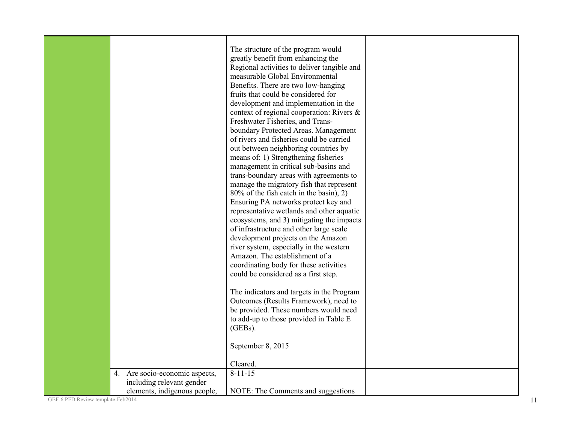| 4. Are socio-economic aspects,                            | The structure of the program would<br>greatly benefit from enhancing the<br>Regional activities to deliver tangible and<br>measurable Global Environmental<br>Benefits. There are two low-hanging<br>fruits that could be considered for<br>development and implementation in the<br>context of regional cooperation: Rivers &<br>Freshwater Fisheries, and Trans-<br>boundary Protected Areas. Management<br>of rivers and fisheries could be carried<br>out between neighboring countries by<br>means of: 1) Strengthening fisheries<br>management in critical sub-basins and<br>trans-boundary areas with agreements to<br>manage the migratory fish that represent<br>80% of the fish catch in the basin), 2)<br>Ensuring PA networks protect key and<br>representative wetlands and other aquatic<br>ecosystems, and 3) mitigating the impacts<br>of infrastructure and other large scale<br>development projects on the Amazon<br>river system, especially in the western<br>Amazon. The establishment of a<br>coordinating body for these activities<br>could be considered as a first step.<br>The indicators and targets in the Program<br>Outcomes (Results Framework), need to<br>be provided. These numbers would need<br>to add-up to those provided in Table E<br>$(GEBs)$ .<br>September 8, 2015<br>Cleared.<br>$8 - 11 - 15$ |  |
|-----------------------------------------------------------|----------------------------------------------------------------------------------------------------------------------------------------------------------------------------------------------------------------------------------------------------------------------------------------------------------------------------------------------------------------------------------------------------------------------------------------------------------------------------------------------------------------------------------------------------------------------------------------------------------------------------------------------------------------------------------------------------------------------------------------------------------------------------------------------------------------------------------------------------------------------------------------------------------------------------------------------------------------------------------------------------------------------------------------------------------------------------------------------------------------------------------------------------------------------------------------------------------------------------------------------------------------------------------------------------------------------------------------------|--|
| including relevant gender<br>elements, indigenous people, | NOTE: The Comments and suggestions                                                                                                                                                                                                                                                                                                                                                                                                                                                                                                                                                                                                                                                                                                                                                                                                                                                                                                                                                                                                                                                                                                                                                                                                                                                                                                           |  |

GEF-6 PFD Review template-Feb2014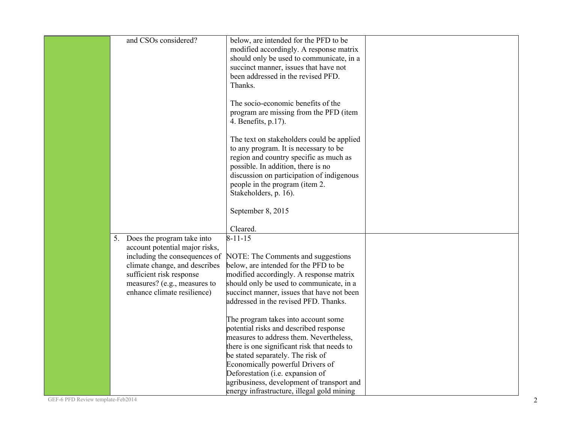| below, are intended for the PFD to be<br>modified accordingly. A response matrix<br>should only be used to communicate, in a<br>succinct manner, issues that have not<br>been addressed in the revised PFD.                                                                          |                                                                                                                                                                                            |
|--------------------------------------------------------------------------------------------------------------------------------------------------------------------------------------------------------------------------------------------------------------------------------------|--------------------------------------------------------------------------------------------------------------------------------------------------------------------------------------------|
| The socio-economic benefits of the<br>program are missing from the PFD (item<br>4. Benefits, p.17).                                                                                                                                                                                  |                                                                                                                                                                                            |
| to any program. It is necessary to be<br>region and country specific as much as<br>possible. In addition, there is no<br>discussion on participation of indigenous<br>people in the program (item 2.                                                                                 |                                                                                                                                                                                            |
| September 8, 2015<br>Cleared.                                                                                                                                                                                                                                                        |                                                                                                                                                                                            |
| NOTE: The Comments and suggestions<br>below, are intended for the PFD to be<br>modified accordingly. A response matrix<br>should only be used to communicate, in a<br>succinct manner, issues that have not been<br>addressed in the revised PFD. Thanks.                            |                                                                                                                                                                                            |
| The program takes into account some<br>potential risks and described response<br>measures to address them. Nevertheless,<br>there is one significant risk that needs to<br>be stated separately. The risk of<br>Economically powerful Drivers of<br>Deforestation (i.e. expansion of |                                                                                                                                                                                            |
|                                                                                                                                                                                                                                                                                      | Thanks.<br>The text on stakeholders could be applied<br>Stakeholders, p. 16).<br>$8 - 11 - 15$<br>agribusiness, development of transport and<br>energy infrastructure, illegal gold mining |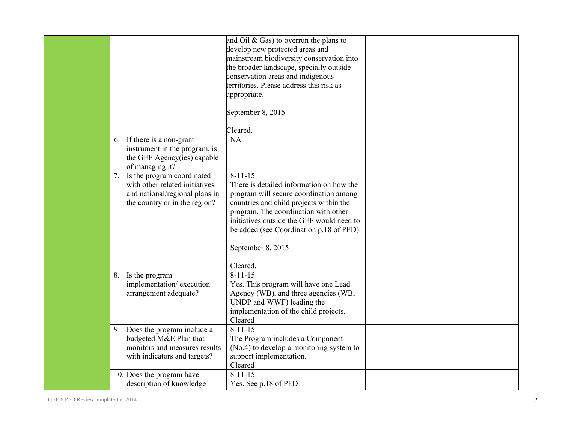|                                                                                                                                    | and Oil $&$ Gas) to overrun the plans to<br>develop new protected areas and<br>mainstream biodiversity conservation into<br>the broader landscape, specially outside<br>conservation areas and indigenous<br>territories. Please address this risk as<br>appropriate.<br>September 8, 2015<br>Cleared.           |  |
|------------------------------------------------------------------------------------------------------------------------------------|------------------------------------------------------------------------------------------------------------------------------------------------------------------------------------------------------------------------------------------------------------------------------------------------------------------|--|
| 6. If there is a non-grant<br>instrument in the program, is<br>the GEF Agency(ies) capable<br>of managing it?                      | <b>NA</b>                                                                                                                                                                                                                                                                                                        |  |
| 7. Is the program coordinated<br>with other related initiatives<br>and national/regional plans in<br>the country or in the region? | $8 - 11 - 15$<br>There is detailed information on how the<br>program will secure coordination among<br>countries and child projects within the<br>program. The coordination with other<br>initiatives outside the GEF would need to<br>be added (see Coordination p.18 of PFD).<br>September 8, 2015<br>Cleared. |  |
| Is the program<br>8.<br>implementation/execution<br>arrangement adequate?                                                          | $8 - 11 - 15$<br>Yes. This program will have one Lead<br>Agency (WB), and three agencies (WB,<br>UNDP and WWF) leading the<br>implementation of the child projects.<br>Cleared                                                                                                                                   |  |
| Does the program include a<br>9.<br>budgeted M&E Plan that<br>monitors and measures results<br>with indicators and targets?        | $8 - 11 - 15$<br>The Program includes a Component<br>(No.4) to develop a monitoring system to<br>support implementation.<br>Cleared                                                                                                                                                                              |  |
| 10. Does the program have<br>description of knowledge                                                                              | $8 - 11 - 15$<br>Yes. See p.18 of PFD                                                                                                                                                                                                                                                                            |  |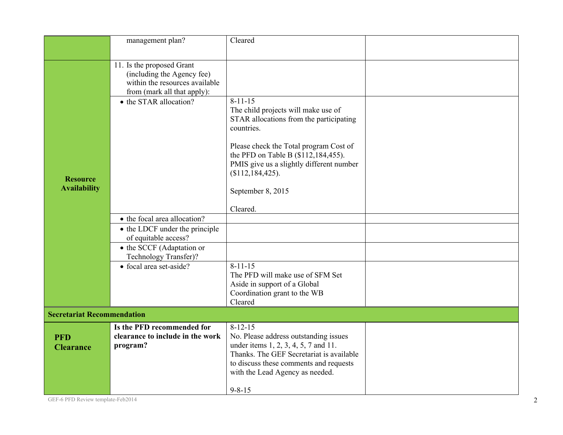|                                   | management plan?                                                                                                         | Cleared                                                                                                                                                                                                |  |
|-----------------------------------|--------------------------------------------------------------------------------------------------------------------------|--------------------------------------------------------------------------------------------------------------------------------------------------------------------------------------------------------|--|
|                                   |                                                                                                                          |                                                                                                                                                                                                        |  |
|                                   | 11. Is the proposed Grant<br>(including the Agency fee)<br>within the resources available<br>from (mark all that apply): |                                                                                                                                                                                                        |  |
|                                   | • the STAR allocation?                                                                                                   | $8 - 11 - 15$<br>The child projects will make use of<br>STAR allocations from the participating<br>countries.                                                                                          |  |
| <b>Resource</b>                   |                                                                                                                          | Please check the Total program Cost of<br>the PFD on Table B (\$112,184,455).<br>PMIS give us a slightly different number<br>(\$112, 184, 425).                                                        |  |
| <b>Availability</b>               |                                                                                                                          | September 8, 2015                                                                                                                                                                                      |  |
|                                   |                                                                                                                          | Cleared.                                                                                                                                                                                               |  |
|                                   | • the focal area allocation?                                                                                             |                                                                                                                                                                                                        |  |
|                                   | • the LDCF under the principle<br>of equitable access?                                                                   |                                                                                                                                                                                                        |  |
|                                   | • the SCCF (Adaptation or<br>Technology Transfer)?                                                                       |                                                                                                                                                                                                        |  |
|                                   | • focal area set-aside?                                                                                                  | $8 - 11 - 15$<br>The PFD will make use of SFM Set<br>Aside in support of a Global<br>Coordination grant to the WB<br>Cleared                                                                           |  |
| <b>Secretariat Recommendation</b> |                                                                                                                          |                                                                                                                                                                                                        |  |
|                                   | Is the PFD recommended for                                                                                               | $8 - 12 - 15$                                                                                                                                                                                          |  |
| <b>PFD</b><br><b>Clearance</b>    | clearance to include in the work<br>program?                                                                             | No. Please address outstanding issues<br>under items 1, 2, 3, 4, 5, 7 and 11.<br>Thanks. The GEF Secretariat is available<br>to discuss these comments and requests<br>with the Lead Agency as needed. |  |
|                                   |                                                                                                                          | $9 - 8 - 15$                                                                                                                                                                                           |  |